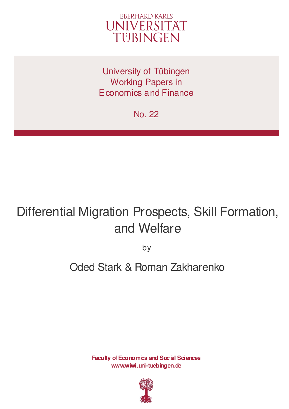

University of Tübingen University of Tübingen Working Papers in Working Papers in Economics and Finance Economics and Finance

No. 22 No. 22

# Differential Migration Prospects, Skill Formation, Differential Migration Prospects, Skill Formation, and Welfare and Welfare

by by

## Oded Stark & Roman Zakharenko Oded Stark & Roman Zakharenko

**Faculty of Economics and Social Sciences Faculty of Economics and Social Sciences www.wiwi.uni-tuebingen.de www.wiwi.uni-tuebingen.de**

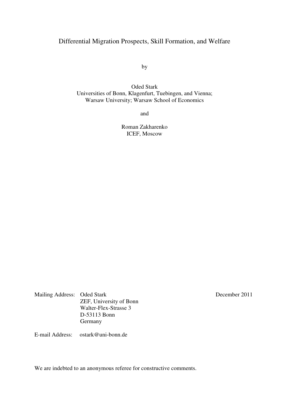### Differential Migration Prospects, Skill Formation, and Welfare

by

Oded Stark Universities of Bonn, Klagenfurt, Tuebingen, and Vienna; Warsaw University; Warsaw School of Economics

and

Roman Zakharenko ICEF, Moscow

| Mailing Address: Oded Stark |                                |
|-----------------------------|--------------------------------|
|                             | <b>ZEF, University of Bonn</b> |
|                             | Walter-Flex-Strasse 3          |
|                             | D-53113 Bonn                   |
|                             | Germany                        |

December 2011

E-mail Address: ostark@uni-bonn.de

We are indebted to an anonymous referee for constructive comments.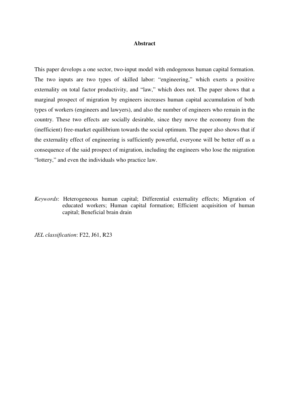#### **Abstract**

This paper develops a one sector, two-input model with endogenous human capital formation. The two inputs are two types of skilled labor: "engineering," which exerts a positive externality on total factor productivity, and "law," which does not. The paper shows that a marginal prospect of migration by engineers increases human capital accumulation of both types of workers (engineers and lawyers), and also the number of engineers who remain in the country. These two effects are socially desirable, since they move the economy from the (inefficient) free-market equilibrium towards the social optimum. The paper also shows that if the externality effect of engineering is sufficiently powerful, everyone will be better off as a consequence of the said prospect of migration, including the engineers who lose the migration "lottery," and even the individuals who practice law.

*Keywords*: Heterogeneous human capital; Differential externality effects; Migration of educated workers; Human capital formation; Efficient acquisition of human capital; Beneficial brain drain

*JEL classification*: F22, J61, R23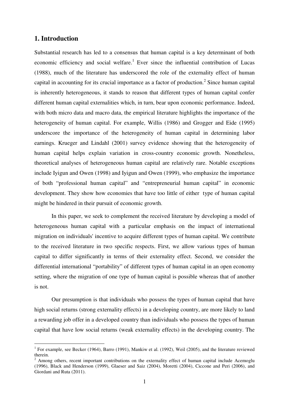#### **1. Introduction**

 $\overline{a}$ 

Substantial research has led to a consensus that human capital is a key determinant of both economic efficiency and social welfare.<sup>1</sup> Ever since the influential contribution of Lucas (1988), much of the literature has underscored the role of the externality effect of human capital in accounting for its crucial importance as a factor of production. $2$  Since human capital is inherently heterogeneous, it stands to reason that different types of human capital confer different human capital externalities which, in turn, bear upon economic performance. Indeed, with both micro data and macro data, the empirical literature highlights the importance of the heterogeneity of human capital. For example, Willis (1986) and Grogger and Eide (1995) underscore the importance of the heterogeneity of human capital in determining labor earnings. Krueger and Lindahl (2001) survey evidence showing that the heterogeneity of human capital helps explain variation in cross-country economic growth. Nonetheless, theoretical analyses of heterogeneous human capital are relatively rare. Notable exceptions include Iyigun and Owen (1998) and Iyigun and Owen (1999), who emphasize the importance of both "professional human capital" and "entrepreneurial human capital" in economic development. They show how economies that have too little of either type of human capital might be hindered in their pursuit of economic growth.

In this paper, we seek to complement the received literature by developing a model of heterogeneous human capital with a particular emphasis on the impact of international migration on individuals' incentive to acquire different types of human capital. We contribute to the received literature in two specific respects. First, we allow various types of human capital to differ significantly in terms of their externality effect. Second, we consider the differential international "portability" of different types of human capital in an open economy setting, where the migration of one type of human capital is possible whereas that of another is not.

Our presumption is that individuals who possess the types of human capital that have high social returns (strong externality effects) in a developing country, are more likely to land a rewarding job offer in a developed country than individuals who possess the types of human capital that have low social returns (weak externality effects) in the developing country. The

<sup>&</sup>lt;sup>1</sup> For example, see Becker (1964), Barro (1991), Mankiw et al. (1992), Weil (2005), and the literature reviewed therein.

<sup>2</sup> Among others, recent important contributions on the externality effect of human capital include Acemoglu (1996), Black and Henderson (1999), Glaeser and Saiz (2004), Moretti (2004), Ciccone and Peri (2006), and Giordani and Ruta (2011).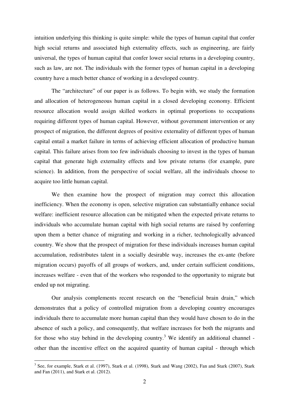intuition underlying this thinking is quite simple: while the types of human capital that confer high social returns and associated high externality effects, such as engineering, are fairly universal, the types of human capital that confer lower social returns in a developing country, such as law, are not. The individuals with the former types of human capital in a developing country have a much better chance of working in a developed country.

The "architecture" of our paper is as follows. To begin with, we study the formation and allocation of heterogeneous human capital in a closed developing economy. Efficient resource allocation would assign skilled workers in optimal proportions to occupations requiring different types of human capital. However, without government intervention or any prospect of migration, the different degrees of positive externality of different types of human capital entail a market failure in terms of achieving efficient allocation of productive human capital. This failure arises from too few individuals choosing to invest in the types of human capital that generate high externality effects and low private returns (for example, pure science). In addition, from the perspective of social welfare, all the individuals choose to acquire too little human capital.

We then examine how the prospect of migration may correct this allocation inefficiency. When the economy is open, selective migration can substantially enhance social welfare: inefficient resource allocation can be mitigated when the expected private returns to individuals who accumulate human capital with high social returns are raised by conferring upon them a better chance of migrating and working in a richer, technologically advanced country. We show that the prospect of migration for these individuals increases human capital accumulation, redistributes talent in a socially desirable way, increases the ex-ante (before migration occurs) payoffs of all groups of workers, and, under certain sufficient conditions, increases welfare - even that of the workers who responded to the opportunity to migrate but ended up not migrating.

Our analysis complements recent research on the "beneficial brain drain," which demonstrates that a policy of controlled migration from a developing country encourages individuals there to accumulate more human capital than they would have chosen to do in the absence of such a policy, and consequently, that welfare increases for both the migrants and for those who stay behind in the developing country.<sup>3</sup> We identify an additional channel other than the incentive effect on the acquired quantity of human capital - through which

 $\overline{a}$ 

 $3$  See, for example, Stark et al. (1997), Stark et al. (1998), Stark and Wang (2002), Fan and Stark (2007), Stark and Fan (2011), and Stark et al. (2012).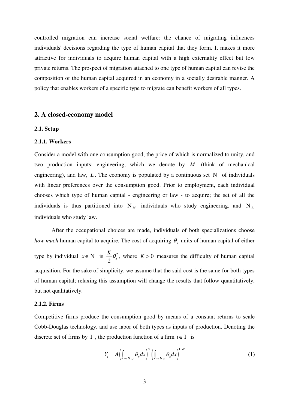controlled migration can increase social welfare: the chance of migrating influences individuals' decisions regarding the type of human capital that they form. It makes it more attractive for individuals to acquire human capital with a high externality effect but low private returns. The prospect of migration attached to one type of human capital can revise the composition of the human capital acquired in an economy in a socially desirable manner. A policy that enables workers of a specific type to migrate can benefit workers of all types.

#### **2. A closed-economy model**

#### **2.1. Setup**

#### **2.1.1. Workers**

Consider a model with one consumption good, the price of which is normalized to unity, and two production inputs: engineering, which we denote by *M* (think of mechanical engineering), and law,  $L$ . The economy is populated by a continuous set N of individuals with linear preferences over the consumption good. Prior to employment, each individual chooses which type of human capital - engineering or law - to acquire; the set of all the individuals is thus partitioned into  $N_M$  individuals who study engineering, and  $N_L$ individuals who study law.

After the occupational choices are made, individuals of both specializations choose *how much* human capital to acquire. The cost of acquiring  $\theta$ <sub>x</sub> units of human capital of either type by individual  $x \in N$  is  $\frac{R}{2} \theta_x^2$  $2^{v_x}$  $\frac{K}{\lambda} \theta_{r}^{2}$ , where  $K > 0$  measures the difficulty of human capital acquisition. For the sake of simplicity, we assume that the said cost is the same for both types of human capital; relaxing this assumption will change the results that follow quantitatively, but not qualitatively.

#### **2.1.2. Firms**

Competitive firms produce the consumption good by means of a constant returns to scale Cobb-Douglas technology, and use labor of both types as inputs of production. Denoting the discrete set of firms by I, the production function of a firm  $i \in I$  is

$$
Y_i = A \left( \int_{x \in N_{iM}} \theta_x dx \right)^{\alpha} \left( \int_{x \in N_{iL}} \theta_x dx \right)^{1-\alpha} \tag{1}
$$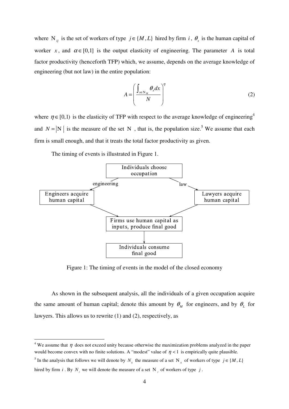where N<sub>*ij*</sub> is the set of workers of type  $j \in \{M, L\}$  hired by firm *i*,  $\theta_x$  is the human capital of worker *x*, and  $\alpha \in [0,1]$  is the output elasticity of engineering. The parameter *A* is total factor productivity (henceforth TFP) which, we assume, depends on the average knowledge of engineering (but not law) in the entire population:

$$
A = \left(\frac{\int_{x \in N_M} \theta_x dx}{N}\right)^{\eta}
$$
 (2)

where  $\eta \in [0,1)$  is the elasticity of TFP with respect to the average knowledge of engineering<sup>4</sup> and  $N = |N|$  is the measure of the set N, that is, the population size.<sup>5</sup> We assume that each firm is small enough, and that it treats the total factor productivity as given.

The timing of events is illustrated in Figure 1.



Figure 1: The timing of events in the model of the closed economy

As shown in the subsequent analysis, all the individuals of a given occupation acquire the same amount of human capital; denote this amount by  $\theta_M$  for engineers, and by  $\theta_L$  for lawyers. This allows us to rewrite (1) and (2), respectively, as

 $\overline{a}$ 

<sup>&</sup>lt;sup>4</sup> We assume that  $\eta$  does not exceed unity because otherwise the maximization problems analyzed in the paper would become convex with no finite solutions. A "modest" value of  $\eta$  < 1 is empirically quite plausible.

<sup>&</sup>lt;sup>5</sup> In the analysis that follows we will denote by  $N_{ij}$  the measure of a set N<sub>*ij*</sub> of workers of type  $j \in \{M, L\}$ 

hired by firm  $i$ . By  $N_j$  we will denote the measure of a set  $N_j$  of workers of type  $j$ .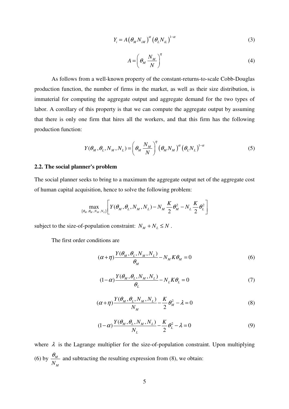$$
Y_i = A \left( \theta_M N_{iM} \right)^{\alpha} \left( \theta_L N_{iL} \right)^{1-\alpha} \tag{3}
$$

$$
A = \left(\theta_M \frac{N_M}{N}\right)^{\eta} \tag{4}
$$

As follows from a well-known property of the constant-returns-to-scale Cobb-Douglas production function, the number of firms in the market, as well as their size distribution, is immaterial for computing the aggregate output and aggregate demand for the two types of labor. A corollary of this property is that we can compute the aggregate output by assuming that there is only one firm that hires all the workers, and that this firm has the following production function:

$$
Y(\theta_M, \theta_L, N_M, N_L) = \left(\theta_M \frac{N_M}{N}\right)^{\eta} \left(\theta_M N_M\right)^{\alpha} \left(\theta_L N_L\right)^{1-\alpha} \tag{5}
$$

#### **2.2. The social planner's problem**

The social planner seeks to bring to a maximum the aggregate output net of the aggregate cost of human capital acquisition, hence to solve the following problem:

$$
\max_{\{\theta_M, \theta_M, N_M, N_L\}} \left[ Y(\theta_M, \theta_L, N_M, N_L) - N_M \frac{K}{2} \theta_M^2 - N_L \frac{K}{2} \theta_L^2 \right]
$$

subject to the size-of-population constraint:  $N_M + N_L \le N$ .

The first order conditions are

$$
(\alpha + \eta) \frac{Y(\theta_M, \theta_L, N_M, N_L)}{\theta_M} - N_M K \theta_M = 0
$$
\n<sup>(6)</sup>

$$
(1 - \alpha) \frac{Y(\theta_M, \theta_L, N_M, N_L)}{\theta_L} - N_L K \theta_L = 0
$$
\n<sup>(7)</sup>

$$
(\alpha + \eta) \frac{Y(\theta_M, \theta_L, N_M, N_L)}{N_M} - \frac{K}{2} \theta_M^2 - \lambda = 0
$$
\n(8)

$$
(1 - \alpha) \frac{Y(\theta_M, \theta_L, N_M, N_L)}{N_L} - \frac{K}{2} \theta_L^2 - \lambda = 0
$$
\n<sup>(9)</sup>

where  $\lambda$  is the Lagrange multiplier for the size-of-population constraint. Upon multiplying (6) by  $\frac{v_M}{v_M}$ *N<sup>M</sup>*  $\frac{\theta_M}{\theta_M}$  and subtracting the resulting expression from (8), we obtain: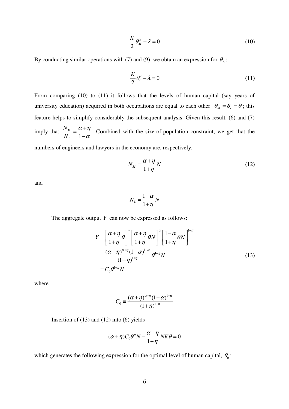$$
\frac{K}{2}\theta_M^2 - \lambda = 0\tag{10}
$$

By conducting similar operations with (7) and (9), we obtain an expression for  $\theta$ <sub>L</sub>:

$$
\frac{K}{2}\theta_L^2 - \lambda = 0\tag{11}
$$

From comparing (10) to (11) it follows that the levels of human capital (say years of university education) acquired in both occupations are equal to each other:  $\theta_M = \theta_L \equiv \theta$ ; this feature helps to simplify considerably the subsequent analysis. Given this result, (6) and (7) imply that 1 *M L N N*  $\alpha + \eta$ α  $=\frac{\alpha+1}{\alpha+1}$ − . Combined with the size-of-population constraint, we get that the numbers of engineers and lawyers in the economy are, respectively,

$$
N_M = \frac{\alpha + \eta}{1 + \eta} N \tag{12}
$$

and

$$
N_L = \frac{1 - \alpha}{1 + \eta} N
$$

The aggregate output *Y* can now be expressed as follows:

$$
Y = \left[\frac{\alpha + \eta}{1 + \eta} \theta\right]'' \left[\frac{\alpha + \eta}{1 + \eta} \theta N\right]'' \left[\frac{1 - \alpha}{1 + \eta} \theta N\right]^{-\alpha}
$$
  

$$
= \frac{(\alpha + \eta)^{\alpha + \eta} (1 - \alpha)^{1 - \alpha}}{(1 + \eta)^{1 + \eta}} \theta^{1 + \eta} N
$$
  

$$
= C_0 \theta^{1 + \eta} N
$$
 (13)

where

$$
C_0 \equiv \frac{(\alpha + \eta)^{\alpha + \eta} (1 - \alpha)^{1 - \alpha}}{(1 + \eta)^{1 + \eta}}
$$

Insertion of  $(13)$  and  $(12)$  into  $(6)$  yields

$$
(\alpha + \eta)C_0\theta^{\eta}N - \frac{\alpha + \eta}{1 + \eta}NK\theta = 0
$$

which generates the following expression for the optimal level of human capital,  $\theta_0$ :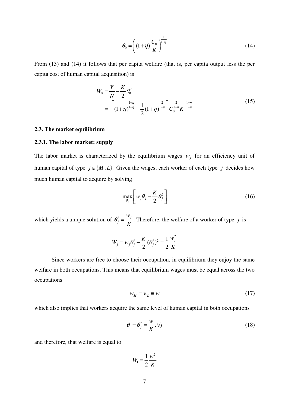$$
\theta_0 = \left( (1+\eta) \frac{C_0}{K} \right)^{\frac{1}{1-\eta}}
$$
\n(14)

From (13) and (14) it follows that per capita welfare (that is, per capita output less the per capita cost of human capital acquisition) is

$$
W_0 = \frac{Y}{N} - \frac{K}{2} \theta_0^2
$$
  
=  $\left[ (1 + \eta)^{\frac{1+\eta}{1-\eta}} - \frac{1}{2} (1 + \eta)^{\frac{2}{1-\eta}} \right] C_0^{\frac{2}{1-\eta}} K^{-\frac{1+\eta}{1-\eta}}$  (15)

#### **2.3. The market equilibrium**

#### **2.3.1. The labor market: supply**

The labor market is characterized by the equilibrium wages  $w_j$  for an efficiency unit of human capital of type  $j \in \{M, L\}$ . Given the wages, each worker of each type *j* decides how much human capital to acquire by solving

$$
\max_{\theta_j} \left[ w_j \theta_j - \frac{K}{2} \theta_j^2 \right] \tag{16}
$$

which yields a unique solution of  $\theta_j^* = \frac{W_j}{K}$ *w K*  $\theta_i^* = \frac{f_i}{f}$ . Therefore, the welfare of a worker of type *j* is

$$
W_j = w_j \theta_j^* - \frac{K}{2} (\theta_j^*)^2 = \frac{1}{2} \frac{w_j^2}{K}
$$

Since workers are free to choose their occupation, in equilibrium they enjoy the same welfare in both occupations. This means that equilibrium wages must be equal across the two occupations

$$
w_M = w_L \equiv w \tag{17}
$$

which also implies that workers acquire the same level of human capital in both occupations

$$
\theta_{\mathbf{i}} \equiv \theta_j^* = \frac{w}{K}, \forall j \tag{18}
$$

and therefore, that welfare is equal to

$$
W_1 = \frac{1}{2} \frac{w^2}{K}
$$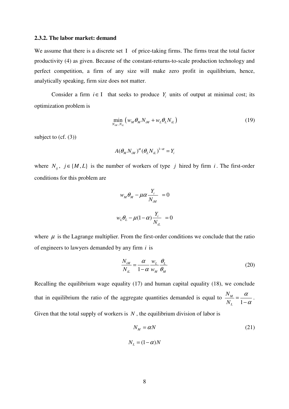#### **2.3.2. The labor market: demand**

We assume that there is a discrete set I of price-taking firms. The firms treat the total factor productivity (4) as given. Because of the constant-returns-to-scale production technology and perfect competition, a firm of any size will make zero profit in equilibrium, hence, analytically speaking, firm size does not matter.

Consider a firm  $i \in I$  that seeks to produce  $Y_i$  units of output at minimal cost; its optimization problem is

$$
\min_{N_{iM},N_{iL}} \left( w_M \theta_M N_{iM} + w_L \theta_L N_{iL} \right) \tag{19}
$$

subject to  $(cf. (3))$ 

$$
A(\theta_M N_{iM})^{\alpha} (\theta_L N_{iL})^{1-\alpha} = Y_i
$$

where  $N_{ij}$ ,  $j \in \{M, L\}$  is the number of workers of type *j* hired by firm *i*. The first-order conditions for this problem are

$$
w_M \theta_M - \mu \alpha \frac{Y_i}{N_{iM}} = 0
$$
  

$$
w_L \theta_L - \mu (1 - \alpha) \frac{Y_i}{N_{iL}} = 0
$$

where  $\mu$  is the Lagrange multiplier. From the first-order conditions we conclude that the ratio of engineers to lawyers demanded by any firm *i* is

$$
\frac{N_{iM}}{N_{iL}} = \frac{\alpha}{1 - \alpha} \frac{w_L}{w_M} \frac{\theta_L}{\theta_M}
$$
\n(20)

Recalling the equilibrium wage equality (17) and human capital equality (18), we conclude that in equilibrium the ratio of the aggregate quantities demanded is equal to 1 *M L N N* α  $=\frac{a}{1-\alpha}$ − . Given that the total supply of workers is  $N$ , the equilibrium division of labor is

$$
N_M = \alpha N \tag{21}
$$
\n
$$
N_L = (1 - \alpha)N
$$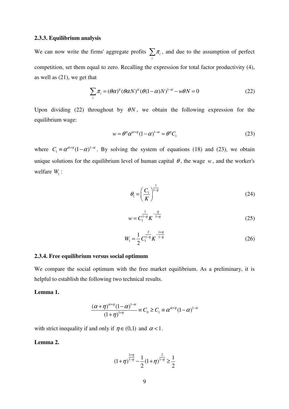#### **2.3.3. Equilibrium analysis**

We can now write the firms' aggregate profits  $\sum \pi_i$ *i*  $\sum \pi_i$ , and due to the assumption of perfect competition, set them equal to zero. Recalling the expression for total factor productivity (4), as well as (21), we get that

$$
\sum_{i} \pi_{i} = (\theta \alpha)^{\eta} (\theta \alpha N)^{\alpha} (\theta (1 - \alpha) N)^{1 - \alpha} - w \theta N = 0
$$
 (22)

Upon dividing (22) throughout by  $\theta N$ , we obtain the following expression for the equilibrium wage:

$$
w = \theta^{\eta} \alpha^{\alpha + \eta} (1 - \alpha)^{1 - \alpha} = \theta^{\eta} C_1
$$
 (23)

where  $C_1 \equiv \alpha^{\alpha+\eta} (1-\alpha)^{1-\alpha}$ . By solving the system of equations (18) and (23), we obtain unique solutions for the equilibrium level of human capital  $\theta$ , the wage  $w$ , and the worker's welfare  $W_1$ :

$$
\theta_1 = \left(\frac{C_1}{K}\right)^{\frac{1}{1-\eta}}
$$
\n(24)

$$
w = C_1^{\frac{1}{1-\eta}} K^{-\frac{\eta}{1-\eta}}
$$
 (25)

$$
W_1 = \frac{1}{2} C_1^{\frac{2}{1-\eta}} K^{-\frac{1+\eta}{1-\eta}}
$$
 (26)

#### **2.3.4. Free equilibrium versus social optimum**

We compare the social optimum with the free market equilibrium. As a preliminary, it is helpful to establish the following two technical results.

#### **Lemma 1.**

$$
\frac{\left(\alpha + \eta\right)^{\alpha + \eta} \left(1 - \alpha\right)^{1 - \alpha}}{\left(1 + \eta\right)^{1 + \eta}} \equiv C_0 \ge C_1 \equiv \alpha^{\alpha + \eta} \left(1 - \alpha\right)^{1 - \alpha}
$$

with strict inequality if and only if  $\eta \in (0,1)$  and  $\alpha < 1$ .

#### **Lemma 2.**

$$
(1+\eta)^{\frac{1+\eta}{1-\eta}} - \frac{1}{2}(1+\eta)^{\frac{2}{1-\eta}} \ge \frac{1}{2}
$$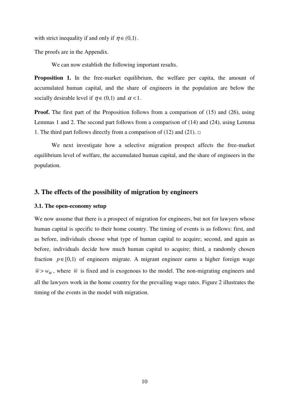with strict inequality if and only if  $\eta \in (0,1)$ .

The proofs are in the Appendix.

We can now establish the following important results.

**Proposition 1.** In the free-market equilibrium, the welfare per capita, the amount of accumulated human capital, and the share of engineers in the population are below the socially desirable level if  $\eta \in (0,1)$  and  $\alpha < 1$ .

**Proof.** The first part of the Proposition follows from a comparison of (15) and (26), using Lemmas 1 and 2. The second part follows from a comparison of (14) and (24), using Lemma 1. The third part follows directly from a comparison of (12) and (21).  $\Box$ 

We next investigate how a selective migration prospect affects the free-market equilibrium level of welfare, the accumulated human capital, and the share of engineers in the population.

#### **3. The effects of the possibility of migration by engineers**

#### **3.1. The open-economy setup**

We now assume that there is a prospect of migration for engineers, but not for lawyers whose human capital is specific to their home country. The timing of events is as follows: first, and as before, individuals choose what type of human capital to acquire; second, and again as before, individuals decide how much human capital to acquire; third, a randomly chosen fraction  $p \in [0,1)$  of engineers migrate. A migrant engineer earns a higher foreign wage  $\overline{w} > w_M$ , where  $\overline{w}$  is fixed and is exogenous to the model. The non-migrating engineers and all the lawyers work in the home country for the prevailing wage rates. Figure 2 illustrates the timing of the events in the model with migration.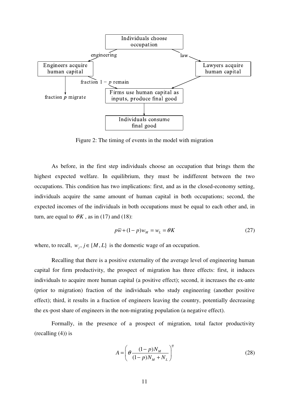

Figure 2: The timing of events in the model with migration

As before, in the first step individuals choose an occupation that brings them the highest expected welfare. In equilibrium, they must be indifferent between the two occupations. This condition has two implications: first, and as in the closed-economy setting, individuals acquire the same amount of human capital in both occupations; second, the expected incomes of the individuals in both occupations must be equal to each other and, in turn, are equal to  $\theta K$ , as in (17) and (18):

$$
p\overline{w} + (1 - p)w_M = w_L = \theta K \tag{27}
$$

where, to recall,  $w_i$ ,  $j \in \{M, L\}$  is the domestic wage of an occupation.

Recalling that there is a positive externality of the average level of engineering human capital for firm productivity, the prospect of migration has three effects: first, it induces individuals to acquire more human capital (a positive effect); second, it increases the ex-ante (prior to migration) fraction of the individuals who study engineering (another positive effect); third, it results in a fraction of engineers leaving the country, potentially decreasing the ex-post share of engineers in the non-migrating population (a negative effect).

Formally, in the presence of a prospect of migration, total factor productivity  $(recalling (4))$  is

$$
A = \left(\theta \frac{(1-p)N_M}{(1-p)N_M + N_L}\right)^{\eta} \tag{28}
$$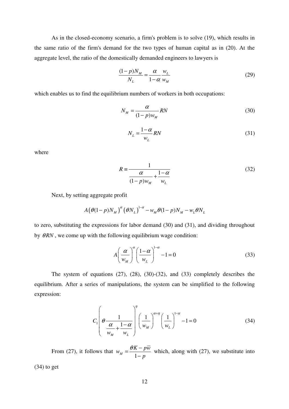As in the closed-economy scenario, a firm's problem is to solve (19), which results in the same ratio of the firm's demand for the two types of human capital as in (20). At the aggregate level, the ratio of the domestically demanded engineers to lawyers is

$$
\frac{(1-p)N_M}{N_L} = \frac{\alpha}{1-\alpha} \frac{w_L}{w_M}
$$
\n(29)

which enables us to find the equilibrium numbers of workers in both occupations:

$$
N_M = \frac{\alpha}{(1 - p)w_M} RN
$$
\n(30)

$$
N_L = \frac{1 - \alpha}{w_L} RN \tag{31}
$$

where

$$
R \equiv \frac{1}{\frac{\alpha}{(1-p)w_M} + \frac{1-\alpha}{w_L}}
$$
(32)

Next, by setting aggregate profit

$$
A(\theta(1-p)N_M)^{\alpha}(\theta N_L)^{1-\alpha} - w_M\theta(1-p)N_M - w_L\theta N_L
$$

to zero, substituting the expressions for labor demand (30) and (31), and dividing throughout by  $\theta RN$ , we come up with the following equilibrium wage condition:

$$
A\left(\frac{\alpha}{w_M}\right)^{\alpha} \left(\frac{1-\alpha}{w_L}\right)^{1-\alpha} - 1 = 0
$$
\n(33)

The system of equations (27), (28), (30)-(32), and (33) completely describes the equilibrium. After a series of manipulations, the system can be simplified to the following expression:

$$
C_1 \left(\theta \frac{1}{\frac{\alpha}{w_M} + \frac{1-\alpha}{w_L}}\right)^{\eta} \left(\frac{1}{w_M}\right)^{\alpha+\eta} \left(\frac{1}{w_L}\right)^{1-\alpha} - 1 = 0 \tag{34}
$$

From (27), it follows that  $M - 1$  $W_M = \frac{\theta K - p\overline{W}}{4}$ *p*  $=\frac{\theta K-$ − which, along with (27), we substitute into

 $(34)$  to get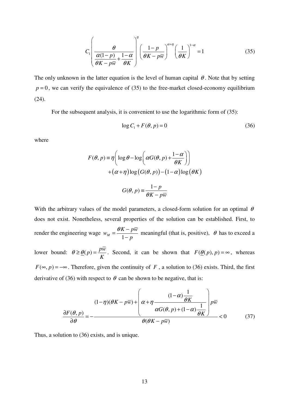$$
C_1 \left( \frac{\theta}{\frac{\alpha(1-p)}{\theta K - p\overline{w}} + \frac{1-\alpha}{\theta K}} \right)^{\eta} \left( \frac{1-p}{\theta K - p\overline{w}} \right)^{\alpha+\eta} \left( \frac{1}{\theta K} \right)^{1-\alpha} = 1
$$
 (35)

The only unknown in the latter equation is the level of human capital  $\theta$ . Note that by setting  $p = 0$ , we can verify the equivalence of (35) to the free-market closed-economy equilibrium (24).

For the subsequent analysis, it is convenient to use the logarithmic form of (35):

$$
\log C_1 + F(\theta, p) = 0 \tag{36}
$$

where

$$
F(\theta, p) = \eta \left( \log \theta - \log \left( \alpha G(\theta, p) + \frac{1 - \alpha}{\theta K} \right) \right)
$$

$$
+ (\alpha + \eta) \log (G(\theta, p)) - (1 - \alpha) \log (\theta K)
$$

$$
G(\theta, p) = \frac{1 - p}{\theta K - p\overline{w}}
$$

With the arbitrary values of the model parameters, a closed-form solution for an optimal  $\theta$ does not exist. Nonetheless, several properties of the solution can be established. First, to render the engineering wage  $M - 1$  $W_M = \frac{\theta K - p\overline{w}}{4}$ *p*  $=\frac{\theta K-$ − meaningful (that is, positive),  $\theta$  has to exceed a lower bound:  $\theta \ge \theta(p) = \frac{p\overline{w}}{r}$ *K*  $\theta \ge \theta(p) = \frac{P^W}{I}$ . Second, it can be shown that  $F(\theta(p), p) = \infty$ , whereas  $F(\infty, p) = -\infty$ . Therefore, given the continuity of *F*, a solution to (36) exists. Third, the first derivative of (36) with respect to  $\theta$  can be shown to be negative, that is:

$$
\frac{\partial F(\theta, p)}{\partial \theta} = -\frac{(1-\eta)(\theta K - p\overline{w}) + \left(\alpha + \eta \frac{(1-\alpha)\frac{1}{\theta K}}{\alpha G(\theta, p) + (1-\alpha)\frac{1}{\theta K}}\right) p\overline{w}}{\theta(\theta K - p\overline{w})} < 0 \tag{37}
$$

Thus, a solution to (36) exists, and is unique.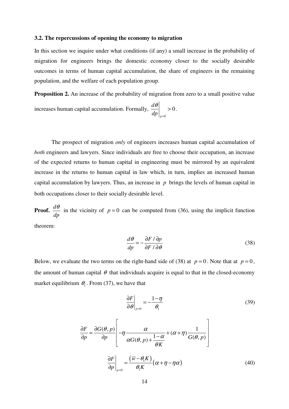#### **3.2. The repercussions of opening the economy to migration**

In this section we inquire under what conditions (if any) a small increase in the probability of migration for engineers brings the domestic economy closer to the socially desirable outcomes in terms of human capital accumulation, the share of engineers in the remaining population, and the welfare of each population group.

**Proposition 2.** An increase of the probability of migration from zero to a small positive value

increases human capital accumulation. Formally,  $\boldsymbol{0}$ 0 *p d dp* θ =  $> 0$ .

 The prospect of migration *only* of engineers increases human capital accumulation of *both* engineers and lawyers. Since individuals are free to choose their occupation, an increase of the expected returns to human capital in engineering must be mirrored by an equivalent increase in the returns to human capital in law which, in turn, implies an increased human capital accumulation by lawyers. Thus, an increase in *p* brings the levels of human capital in both occupations closer to their socially desirable level.

**Proof.** *<sup>d</sup> dp*  $\frac{\theta}{\theta}$  in the vicinity of  $p = 0$  can be computed from (36), using the implicit function

theorem:

$$
\frac{d\theta}{dp} = -\frac{\partial F / \partial p}{\partial F / \partial \theta} \tag{38}
$$

Below, we evaluate the two terms on the right-hand side of (38) at  $p = 0$ . Note that at  $p = 0$ , the amount of human capital  $\theta$  that individuals acquire is equal to that in the closed-economy market equilibrium  $\theta_1$ . From (37), we have that

$$
\left. \frac{\partial F}{\partial \theta} \right|_{p=0} = -\frac{1-\eta}{\theta_1} \tag{39}
$$

$$
\frac{\partial F}{\partial p} = \frac{\partial G(\theta, p)}{\partial p} \left[ -\eta \frac{\alpha}{\alpha G(\theta, p) + \frac{1 - \alpha}{\theta K}} + (\alpha + \eta) \frac{1}{G(\theta, p)} \right]
$$

$$
\frac{\partial F}{\partial p} \Big|_{p=0} = \frac{(\overline{w} - \theta_1 K)}{\theta_1 K} (\alpha + \eta - \eta \alpha) \tag{40}
$$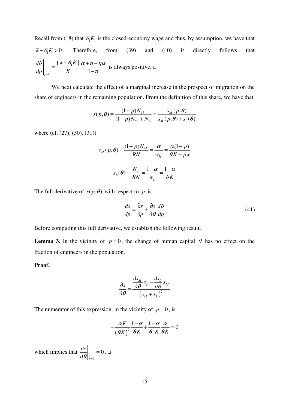Recall from (18) that  $\theta_1 K$  is the closed-economy wage and thus, by assumption, we have that  $\overline{w} - \theta_1 K > 0$ . Therefore, from (39) and (40) it directly follows that  $(\bar{w} - \theta_1 K)$  $h_{p=0}$  *K* 1  $d\theta$   $(\overline{w} - \theta_1 K)$  $dp \big|_{p=0}$  K  $\theta$   $(\bar{w} - \theta_1 K) \alpha + \eta - \eta \alpha$  $\lambda = 0$   $K$   $1-\eta$  $=\frac{(\overline{w}-\theta_1 K)}{K} \frac{\alpha + \eta - \overline{K}}{K}$ − is always positive. □

We next calculate the effect of a marginal increase in the prospect of migration on the share of engineers in the remaining population. From the definition of this share, we have that

$$
s(p, \theta) \equiv \frac{(1-p)N_M}{(1-p)N_M + N_L} = \frac{s_M(p, \theta)}{s_M(p, \theta) + s_L(\theta)}
$$

where (cf. (27), (30), (31))

$$
s_M(p, \theta) \equiv \frac{(1-p)N_M}{RN} = \frac{\alpha}{w_M} = \frac{\alpha(1-p)}{\theta K - p\overline{w}}
$$

$$
s_L(\theta) \equiv \frac{N_L}{RN} = \frac{1-\alpha}{w_L} = \frac{1-\alpha}{\theta K}
$$

The full derivative of  $s(p, \theta)$  with respect to p is

$$
\frac{ds}{dp} = \frac{\partial s}{\partial p} + \frac{\partial s}{\partial \theta} \frac{d\theta}{dp}
$$
(41)

Before computing this full derivative, we establish the following result.

**Lemma 3.** In the vicinity of  $p = 0$ , the change of human capital  $\theta$  has no effect on the fraction of engineers in the population.

#### **Proof.**

$$
\frac{\partial s}{\partial \theta} = \frac{\frac{\partial s_M}{\partial \theta} s_L - \frac{\partial s_L}{\partial \theta} s_M}{(s_M + s_L)^2}
$$

The numerator of this expression, in the vicinity of  $p = 0$ , is

$$
-\frac{\alpha K}{(\theta K)^2}\frac{1-\alpha}{\theta K}+\frac{1-\alpha}{\theta^2 K}\frac{\alpha}{\theta K}=0
$$

which implies that  $\mathbf{0}$ 0 *p s*  $\left.\theta\right|_{p=0}$  $\frac{\partial s}{\partial s}$  = ∂ . □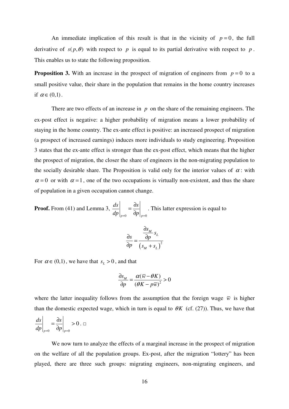An immediate implication of this result is that in the vicinity of  $p = 0$ , the full derivative of  $s(p, \theta)$  with respect to p is equal to its partial derivative with respect to p. This enables us to state the following proposition.

**Proposition 3.** With an increase in the prospect of migration of engineers from  $p = 0$  to a small positive value, their share in the population that remains in the home country increases if  $\alpha \in (0,1)$ .

There are two effects of an increase in *p* on the share of the remaining engineers. The ex-post effect is negative: a higher probability of migration means a lower probability of staying in the home country. The ex-ante effect is positive: an increased prospect of migration (a prospect of increased earnings) induces more individuals to study engineering. Proposition 3 states that the ex-ante effect is stronger than the ex-post effect, which means that the higher the prospect of migration, the closer the share of engineers in the non-migrating population to the socially desirable share. The Proposition is valid only for the interior values of  $\alpha$ : with  $\alpha = 0$  or with  $\alpha = 1$ , one of the two occupations is virtually non-existent, and thus the share of population in a given occupation cannot change.

**Proof.** From (41) and Lemma 3,  $p=0$   $\sigma P|_{p=0}$  $ds$   $\partial s$  $\left. d p \right|_{p=0}$   $\left. \partial p \right|_{p=0}$  $=\frac{5}{2}$ ∂ . This latter expression is equal to

$$
\frac{\partial s}{\partial p} = \frac{\frac{\partial s_M}{\partial p} s_L}{\left(s_M + s_L\right)^2}
$$

For  $\alpha \in (0,1)$ , we have that  $s_L > 0$ , and that

$$
\frac{\partial s_M}{\partial p} = \frac{\alpha(\overline{w} - \theta K)}{(\theta K - p\overline{w})^2} > 0
$$

where the latter inequality follows from the assumption that the foreign wage  $\bar{w}$  is higher than the domestic expected wage, which in turn is equal to  $\theta K$  (cf. (27)). Thus, we have that

$$
\left. \frac{ds}{dp} \right|_{p=0} = \frac{\partial s}{\partial p} \bigg|_{p=0} > 0. \ \Box
$$

We now turn to analyze the effects of a marginal increase in the prospect of migration on the welfare of all the population groups. Ex-post, after the migration "lottery" has been played, there are three such groups: migrating engineers, non-migrating engineers, and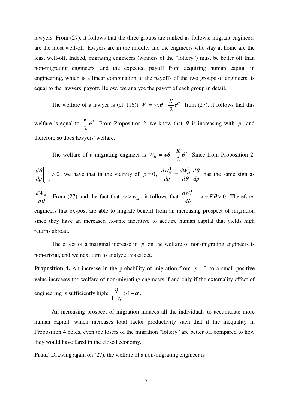lawyers. From (27), it follows that the three groups are ranked as follows: migrant engineers are the most well-off, lawyers are in the middle, and the engineers who stay at home are the least well-off. Indeed, migrating engineers (winners of the "lottery") must be better off than non-migrating engineers; and the expected payoff from acquiring human capital in engineering, which is a linear combination of the payoffs of the two groups of engineers, is equal to the lawyers' payoff. Below, we analyze the payoff of each group in detail.

The welfare of a lawyer is (cf. (16))  $W_L = w_L \theta - \frac{\Lambda}{2} \theta^2$  $L - w_L v$  2  $W_L = W_L \theta - \frac{K}{\epsilon} \theta^2$ ; from (27), it follows that this welfare is equal to  $\frac{\Lambda}{2} \theta^2$ 2  $\frac{K}{\sigma} \theta^2$ . From Proposition 2, we know that  $\theta$  is increasing with *p*, and therefore so does lawyers' welfare.

The welfare of a migrating engineer is  $W_M^1 = \overline{w} \theta - \frac{\Lambda}{\epsilon} \theta^2$  $M - W$ <sup>2</sup>  $W_M^1 = \overline{w} \theta - \frac{K}{2} \theta^2$ . Since from Proposition 2, 0 0 *p d dp* θ =  $> 0$ , we have that in the vicinity of  $p = 0$ ,  $dW^1_{M_{-}}$  *dW*<sub>M</sub>  $d$ *dp dθ dp* θ  $=\frac{aH_M}{d\theta} \frac{dv}{dp}$  has the same sign as 1  $dW^1_M$  $\frac{W_M}{d\theta}$ . From (27) and the fact that  $\overline{w} > w_M$ , it follows that 1  $\frac{dW_M^1}{d\Omega} = \overline{w} - K\theta > 0$ *d* θ  $\frac{\partial^2 M}{\partial \theta} = \overline{w} - K\theta > 0$ . Therefore, engineers that ex-post are able to migrate benefit from an increasing prospect of migration since they have an increased ex-ante incentive to acquire human capital that yields high returns abroad.

The effect of a marginal increase in  $p$  on the welfare of non-migrating engineers is non-trivial, and we next turn to analyze this effect.

**Proposition 4.** An increase in the probability of migration from  $p = 0$  to a small positive value increases the welfare of non-migrating engineers if and only if the externality effect of engineering is sufficiently high:  $\frac{1}{1}$  > 1 1  $\frac{\eta}{\alpha}$ >1- $\alpha$ η  $>1-$ − .

 An increasing prospect of migration induces all the individuals to accumulate more human capital, which increases total factor productivity such that if the inequality in Proposition 4 holds, even the losers of the migration "lottery" are better off compared to how they would have fared in the closed economy.

**Proof.** Drawing again on (27), the welfare of a non-migrating engineer is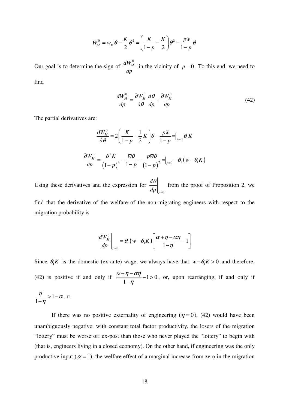$$
W_M^0 = w_M \theta - \frac{K}{2} \theta^2 = \left(\frac{K}{1-p} - \frac{K}{2}\right) \theta^2 - \frac{p\overline{w}}{1-p} \theta
$$

Our goal is to determine the sign of 0  $dW_{\!M}^0$ *dp* in the vicinity of  $p = 0$ . To this end, we need to

find

$$
\frac{dW_M^0}{dp} = \frac{\partial W_M^0}{\partial \theta} \frac{d\theta}{dp} + \frac{\partial W_M^0}{\partial p}
$$
(42)

The partial derivatives are:

$$
\frac{\partial W_M^0}{\partial \theta} = 2 \left( \frac{K}{1-p} - \frac{1}{2} K \right) \theta - \frac{p \overline{w}}{1-p} = \Big|_{p=0} \theta_1 K
$$

$$
\frac{\partial W_M^0}{\partial p} = \frac{\theta^2 K}{(1-p)^2} - \frac{\overline{w} \theta}{1-p} - \frac{p \overline{w} \theta}{(1-p)^2} = \Big|_{p=0} - \theta_1 \left( \overline{w} - \theta_1 K \right)
$$

Using these derivatives and the expression for *p*=0 *d dp* θ = from the proof of Proposition 2, we

find that the derivative of the welfare of the non-migrating engineers with respect to the migration probability is

$$
\left. \frac{dW_{M}^{0}}{dp} \right|_{p=0} = \theta_{1} \left( \overline{w} - \theta_{1} K \right) \left[ \frac{\alpha + \eta - \alpha \eta}{1 - \eta} - 1 \right]
$$

Since  $\theta_1 K$  is the domestic (ex-ante) wage, we always have that  $\overline{w} - \theta_1 K > 0$  and therefore, (42) is positive if and only if  $\frac{u+1}{1}$  -1 > 0 1  $\alpha + \eta - \alpha \eta$ η  $+\eta - \alpha \eta$ <sub>-1</sub>> − , or, upon rearranging, if and only if 1 1  $\frac{\eta}{\alpha}$ >1- $\alpha$ η  $>1-$ − . □

If there was no positive externality of engineering  $(\eta = 0)$ , (42) would have been unambiguously negative: with constant total factor productivity, the losers of the migration "lottery" must be worse off ex-post than those who never played the "lottery" to begin with (that is, engineers living in a closed economy). On the other hand, if engineering was the only productive input ( $\alpha$  = 1), the welfare effect of a marginal increase from zero in the migration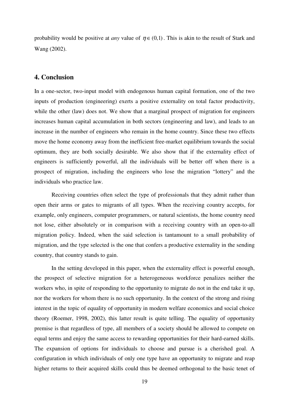probability would be positive at *any* value of  $\eta \in (0,1)$ . This is akin to the result of Stark and Wang (2002).

#### **4. Conclusion**

In a one-sector, two-input model with endogenous human capital formation, one of the two inputs of production (engineering) exerts a positive externality on total factor productivity, while the other (law) does not. We show that a marginal prospect of migration for engineers increases human capital accumulation in both sectors (engineering and law), and leads to an increase in the number of engineers who remain in the home country. Since these two effects move the home economy away from the inefficient free-market equilibrium towards the social optimum, they are both socially desirable. We also show that if the externality effect of engineers is sufficiently powerful, all the individuals will be better off when there is a prospect of migration, including the engineers who lose the migration "lottery" and the individuals who practice law.

Receiving countries often select the type of professionals that they admit rather than open their arms or gates to migrants of all types. When the receiving country accepts, for example, only engineers, computer programmers, or natural scientists, the home country need not lose, either absolutely or in comparison with a receiving country with an open-to-all migration policy. Indeed, when the said selection is tantamount to a small probability of migration, and the type selected is the one that confers a productive externality in the sending country, that country stands to gain.

In the setting developed in this paper, when the externality effect is powerful enough, the prospect of selective migration for a heterogeneous workforce penalizes neither the workers who, in spite of responding to the opportunity to migrate do not in the end take it up, nor the workers for whom there is no such opportunity. In the context of the strong and rising interest in the topic of equality of opportunity in modern welfare economics and social choice theory (Roemer, 1998, 2002), this latter result is quite telling. The equality of opportunity premise is that regardless of type, all members of a society should be allowed to compete on equal terms and enjoy the same access to rewarding opportunities for their hard-earned skills. The expansion of options for individuals to choose and pursue is a cherished goal. A configuration in which individuals of only one type have an opportunity to migrate and reap higher returns to their acquired skills could thus be deemed orthogonal to the basic tenet of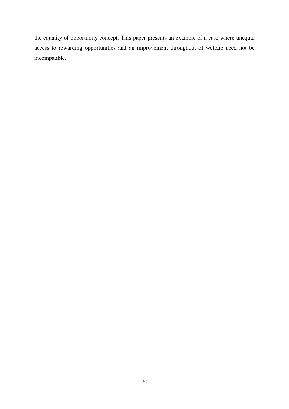the equality of opportunity concept. This paper presents an example of a case where unequal access to rewarding opportunities and an improvement throughout of welfare need not be incompatible.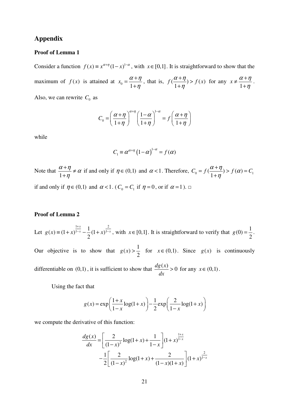#### **Appendix**

#### **Proof of Lemma 1**

Consider a function  $f(x) = x^{\alpha+\eta} (1-x)^{1-\alpha}$ , with  $x \in [0,1]$ . It is straightforward to show that the maximum of  $f(x)$  is attained at  $x_0 = \frac{a}{1}$  $x_0 = \frac{\alpha + \eta}{4}$ η  $=\frac{\alpha+1}{\alpha+1}$ + , that is,  $f(\frac{d+1}{1}) > f(x)$ 1  $f\left(\frac{\alpha + \eta}{\alpha}\right) > f(x)$ η  $\frac{+\eta}{2}$ + for any 1  $x \neq \frac{\alpha + \eta}{\eta}$ η  $\neq \frac{\alpha + }{4}$ + . Also, we can rewrite  $C_0$  as

$$
C_0 = \left(\frac{\alpha + \eta}{1 + \eta}\right)^{\alpha + \eta} \left(\frac{1 - \alpha}{1 + \eta}\right)^{1 - \alpha} = f\left(\frac{\alpha + \eta}{1 + \eta}\right)
$$

while

$$
C_1 \equiv \alpha^{\alpha + \eta} \left( 1 - \alpha \right)^{1 - \alpha} = f(\alpha)
$$

Note that 1  $\frac{\alpha + \eta}{\alpha} \neq \alpha$ η  $\frac{+\eta}{4}$  $\frac{1}{\alpha} \neq \alpha$  if and only if  $\eta \in (0,1)$  and  $\alpha < 1$ . Therefore,  $C_0 = f(\frac{\alpha + \eta}{1 + \eta}) > f(\alpha) = C_1$  $C_0 = f\left(\frac{\alpha + \eta}{\lambda}\right) > f(\alpha) = C$ η  $=f\left(\frac{\alpha+\eta}{\eta}\right) > f(\alpha) =$ + if and only if  $\eta \in (0,1)$  and  $\alpha < 1$ . ( $C_0 = C_1$  if  $\eta = 0$ , or if  $\alpha = 1$ ).  $\Box$ 

#### **Proof of Lemma 2**

Let  $f(x) \equiv (1+x)^{\frac{1+x}{1-x}} - \frac{1}{2}(1+x)^{\frac{2}{1-x}}$ 2 *x*  $g(x) \equiv (1+x)^{1-x} - \frac{1}{2}(1+x)^{1-x}$  $\equiv (1+x)^{1+x} - \frac{1}{2}(1+x)^{1-x}$ , with  $x \in [0,1]$ . It is straightforward to verify that  $g(0) = \frac{1}{2}$ 2  $g(0) = \frac{1}{2}$ . Our objective is to show that  $g(x) > \frac{1}{2}$ 2  $g(x) > \frac{1}{2}$  for  $x \in (0,1)$ . Since  $g(x)$  is continuously differentiable on  $(0,1)$ , it is sufficient to show that  $\frac{dg(x)}{dx} > 0$ *dx* > 0 for any *x* ∈ (0,1).

Using the fact that

$$
g(x) = \exp\left(\frac{1+x}{1-x}\log(1+x)\right) - \frac{1}{2}\exp\left(\frac{2}{1-x}\log(1+x)\right)
$$

we compute the derivative of this function:

$$
\frac{dg(x)}{dx} = \left[\frac{2}{(1-x)^2}\log(1+x) + \frac{1}{1-x}\right](1+x)^{\frac{1+x}{1-x}}
$$

$$
-\frac{1}{2}\left[\frac{2}{(1-x)^2}\log(1+x) + \frac{2}{(1-x)(1+x)}\right](1+x)^{\frac{2}{1-x}}
$$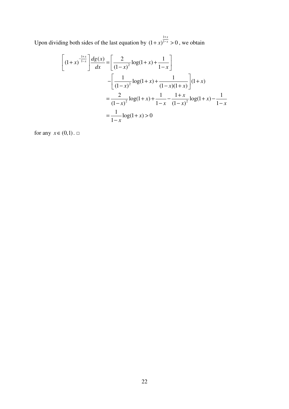Upon dividing both sides of the last equation by 1  $(1+x)^{1-x} > 0$ *x*  $(x)^{1-x}$ +  $(x+x)^{1-x} > 0$ , we obtain

$$
\left[ (1+x)^{-\frac{1+x}{1-x}} \right] \frac{dg(x)}{dx} = \left[ \frac{2}{(1-x)^2} \log(1+x) + \frac{1}{1-x} \right]
$$

$$
- \left[ \frac{1}{(1-x)^2} \log(1+x) + \frac{1}{(1-x)(1+x)} \right] (1+x)
$$

$$
= \frac{2}{(1-x)^2} \log(1+x) + \frac{1}{1-x} - \frac{1+x}{(1-x)^2} \log(1+x) - \frac{1}{1-x}
$$

$$
= \frac{1}{1-x} \log(1+x) > 0
$$

for any  $x \in (0,1)$ . □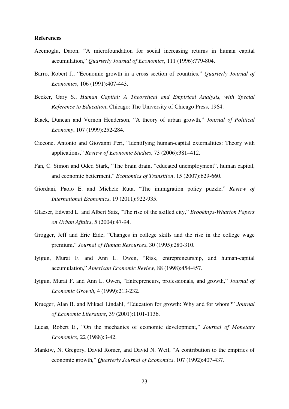#### **References**

- Acemoglu, Daron, "A microfoundation for social increasing returns in human capital accumulation," *Quarterly Journal of Economics*, 111 (1996):779-804.
- Barro, Robert J., "Economic growth in a cross section of countries," *Quarterly Journal of Economics*, 106 (1991):407-443.
- Becker, Gary S., *Human Capital: A Theoretical and Empirical Analysis, with Special Reference to Education*, Chicago: The University of Chicago Press, 1964.
- Black, Duncan and Vernon Henderson, "A theory of urban growth," *Journal of Political Economy*, 107 (1999):252-284.
- Ciccone, Antonio and Giovanni Peri, "Identifying human-capital externalities: Theory with applications," *Review of Economic Studies*, 73 (2006):381–412.
- Fan, C. Simon and Oded Stark, "The brain drain, "educated unemployment", human capital, and economic betterment," *Economics of Transition*, 15 (2007):629-660.
- Giordani, Paolo E. and Michele Ruta, "The immigration policy puzzle," *Review of International Economics*, 19 (2011):922-935.
- Glaeser, Edward L. and Albert Saiz, "The rise of the skilled city," *Brookings-Wharton Papers on Urban Affairs*, 5 (2004):47-94.
- Grogger, Jeff and Eric Eide, "Changes in college skills and the rise in the college wage premium," *Journal of Human Resources*, 30 (1995):280-310.
- Iyigun, Murat F. and Ann L. Owen, "Risk, entrepreneurship, and human-capital accumulation," *American Economic Review*, 88 (1998):454-457.
- Iyigun, Murat F. and Ann L. Owen, "Entrepreneurs, professionals, and growth," *Journal of Economic Growth*, 4 (1999):213-232.
- Krueger, Alan B. and Mikael Lindahl, "Education for growth: Why and for whom?" *Journal of Economic Literature*, 39 (2001):1101-1136.
- Lucas, Robert E., "On the mechanics of economic development," *Journal of Monetary Economics*, 22 (1988):3-42.
- Mankiw, N. Gregory, David Romer, and David N. Weil, "A contribution to the empirics of economic growth," *Quarterly Journal of Economics*, 107 (1992):407-437.